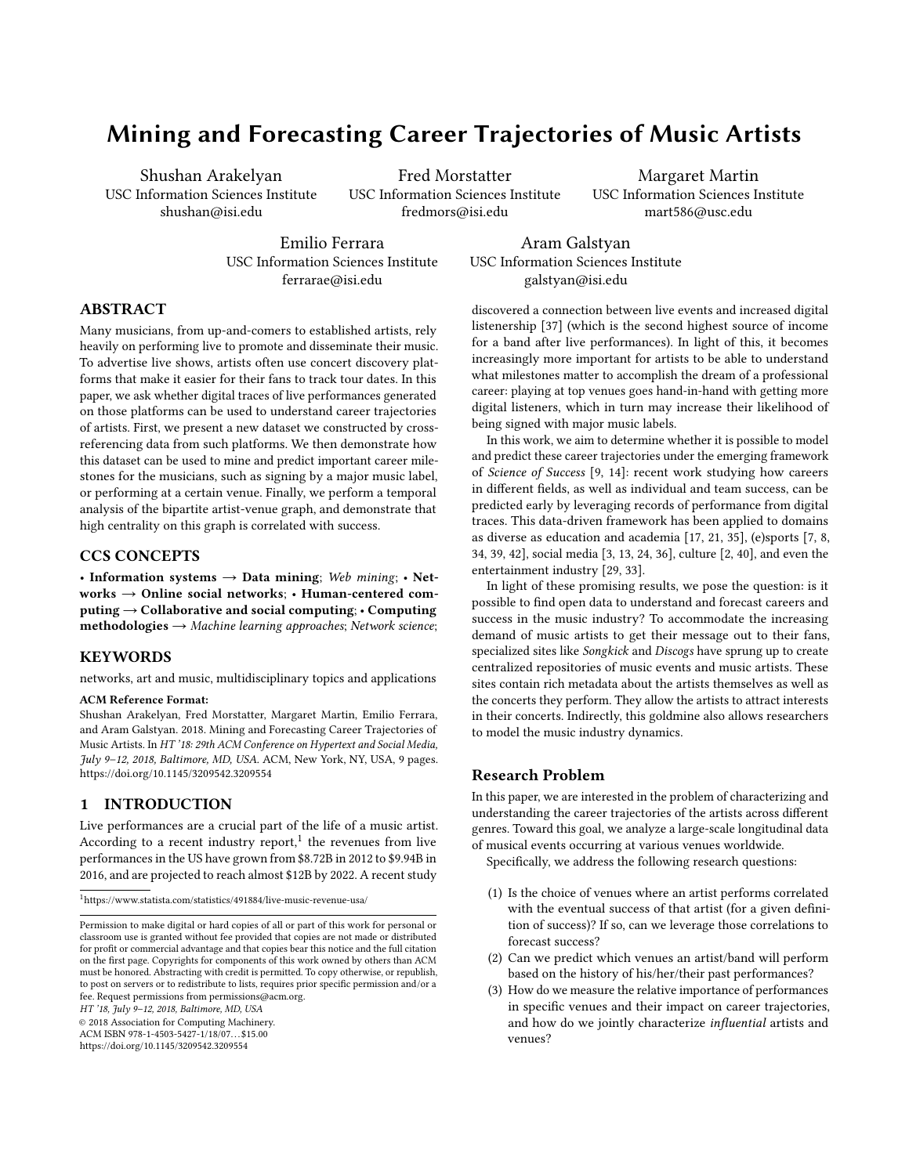# Mining and Forecasting Career Trajectories of Music Artists

Shushan Arakelyan USC Information Sciences Institute shushan@isi.edu

Fred Morstatter USC Information Sciences Institute fredmors@isi.edu

Margaret Martin USC Information Sciences Institute mart586@usc.edu

Emilio Ferrara USC Information Sciences Institute ferrarae@isi.edu

Aram Galstyan USC Information Sciences Institute galstyan@isi.edu

# ABSTRACT

Many musicians, from up-and-comers to established artists, rely heavily on performing live to promote and disseminate their music. To advertise live shows, artists often use concert discovery platforms that make it easier for their fans to track tour dates. In this paper, we ask whether digital traces of live performances generated on those platforms can be used to understand career trajectories of artists. First, we present a new dataset we constructed by crossreferencing data from such platforms. We then demonstrate how this dataset can be used to mine and predict important career milestones for the musicians, such as signing by a major music label, or performing at a certain venue. Finally, we perform a temporal analysis of the bipartite artist-venue graph, and demonstrate that high centrality on this graph is correlated with success.

## CCS CONCEPTS

• Information systems  $\rightarrow$  Data mining; Web mining; • Networks → Online social networks; • Human-centered computing → Collaborative and social computing; • Computing  $$ 

#### **KEYWORDS**

networks, art and music, multidisciplinary topics and applications

#### ACM Reference Format:

Shushan Arakelyan, Fred Morstatter, Margaret Martin, Emilio Ferrara, and Aram Galstyan. 2018. Mining and Forecasting Career Trajectories of Music Artists. In HT '18: 29th ACM Conference on Hypertext and Social Media, July 9–12, 2018, Baltimore, MD, USA. ACM, New York, NY, USA, [9](#page-8-0) pages. <https://doi.org/10.1145/3209542.3209554>

#### 1 INTRODUCTION

Live performances are a crucial part of the life of a music artist. According to a recent industry report, $1$  the revenues from live performances in the US have grown from \$8.72B in 2012 to \$9.94B in 2016, and are projected to reach almost \$12B by 2022. A recent study

HT '18, July 9–12, 2018, Baltimore, MD, USA

© 2018 Association for Computing Machinery.

ACM ISBN 978-1-4503-5427-1/18/07...\$15.00 <https://doi.org/10.1145/3209542.3209554>

discovered a connection between live events and increased digital listenership [\[37\]](#page-8-1) (which is the second highest source of income for a band after live performances). In light of this, it becomes increasingly more important for artists to be able to understand what milestones matter to accomplish the dream of a professional career: playing at top venues goes hand-in-hand with getting more digital listeners, which in turn may increase their likelihood of being signed with major music labels.

In this work, we aim to determine whether it is possible to model and predict these career trajectories under the emerging framework of Science of Success [\[9,](#page-8-2) [14\]](#page-8-3): recent work studying how careers in different fields, as well as individual and team success, can be predicted early by leveraging records of performance from digital traces. This data-driven framework has been applied to domains as diverse as education and academia [\[17,](#page-8-4) [21,](#page-8-5) [35\]](#page-8-6), (e)sports [\[7,](#page-8-7) [8,](#page-8-8) [34,](#page-8-9) [39,](#page-8-10) [42\]](#page-8-11), social media [\[3,](#page-8-12) [13,](#page-8-13) [24,](#page-8-14) [36\]](#page-8-15), culture [\[2,](#page-8-16) [40\]](#page-8-17), and even the entertainment industry [\[29,](#page-8-18) [33\]](#page-8-19).

In light of these promising results, we pose the question: is it possible to find open data to understand and forecast careers and success in the music industry? To accommodate the increasing demand of music artists to get their message out to their fans, specialized sites like Songkick and Discogs have sprung up to create centralized repositories of music events and music artists. These sites contain rich metadata about the artists themselves as well as the concerts they perform. They allow the artists to attract interests in their concerts. Indirectly, this goldmine also allows researchers to model the music industry dynamics.

## Research Problem

In this paper, we are interested in the problem of characterizing and understanding the career trajectories of the artists across different genres. Toward this goal, we analyze a large-scale longitudinal data of musical events occurring at various venues worldwide.

Specifically, we address the following research questions:

- (1) Is the choice of venues where an artist performs correlated with the eventual success of that artist (for a given definition of success)? If so, can we leverage those correlations to forecast success?
- (2) Can we predict which venues an artist/band will perform based on the history of his/her/their past performances?
- (3) How do we measure the relative importance of performances in specific venues and their impact on career trajectories, and how do we jointly characterize influential artists and venues?

<span id="page-0-0"></span> $^1$ https://www.statista.com/statistics/491884/live-music-revenue-usa/

Permission to make digital or hard copies of all or part of this work for personal or classroom use is granted without fee provided that copies are not made or distributed for profit or commercial advantage and that copies bear this notice and the full citation on the first page. Copyrights for components of this work owned by others than ACM must be honored. Abstracting with credit is permitted. To copy otherwise, or republish, to post on servers or to redistribute to lists, requires prior specific permission and/or a fee. Request permissions from permissions@acm.org.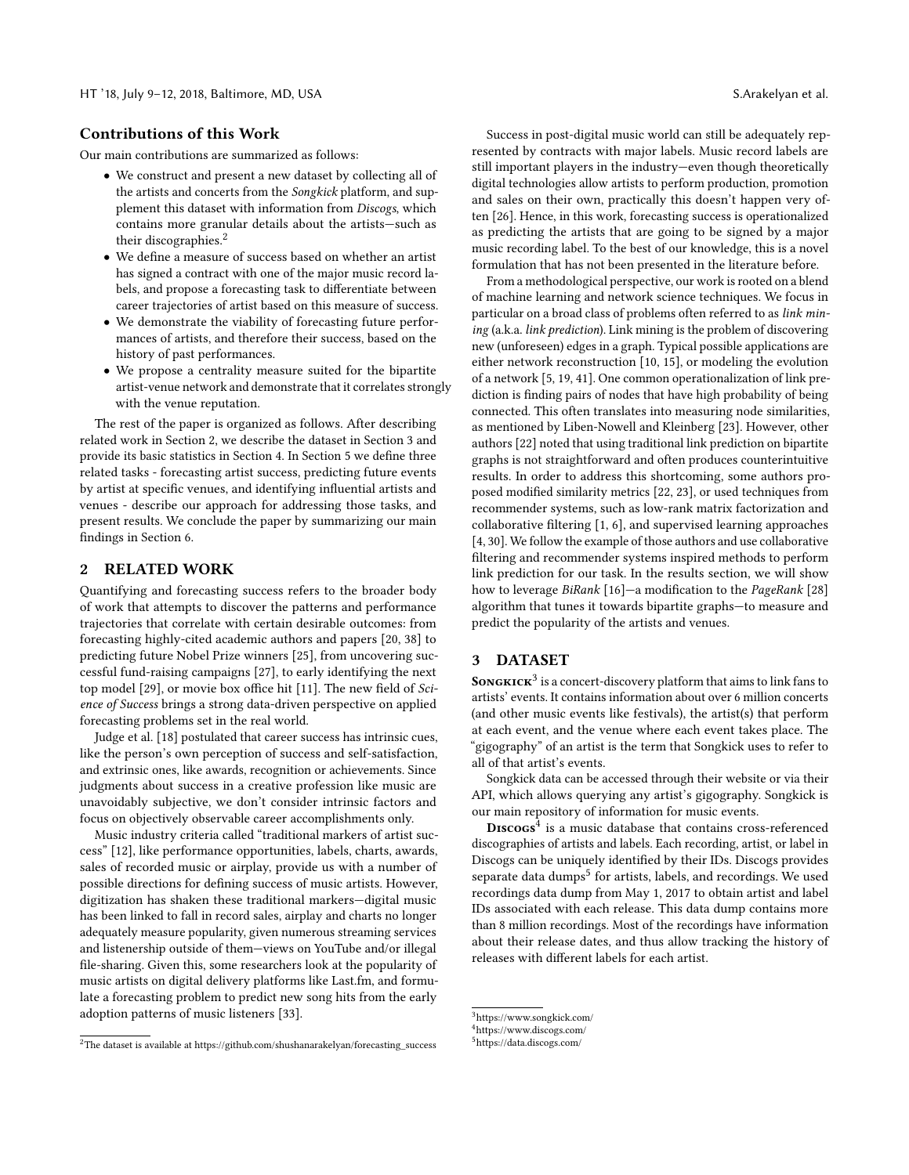### Contributions of this Work

Our main contributions are summarized as follows:

- We construct and present a new dataset by collecting all of the artists and concerts from the Songkick platform, and supplement this dataset with information from Discogs, which contains more granular details about the artists—such as their discographies.<sup>[2](#page-1-0)</sup>
- We define a measure of success based on whether an artist has signed a contract with one of the major music record labels, and propose a forecasting task to differentiate between career trajectories of artist based on this measure of success.
- We demonstrate the viability of forecasting future performances of artists, and therefore their success, based on the history of past performances.
- We propose a centrality measure suited for the bipartite artist-venue network and demonstrate that it correlates strongly with the venue reputation.

The rest of the paper is organized as follows. After describing related work in Section [2,](#page-1-1) we describe the dataset in Section [3](#page-1-2) and provide its basic statistics in Section [4.](#page-2-0) In Section [5](#page-3-0) we define three related tasks - forecasting artist success, predicting future events by artist at specific venues, and identifying influential artists and venues - describe our approach for addressing those tasks, and present results. We conclude the paper by summarizing our main findings in Section [6.](#page-7-0)

## <span id="page-1-1"></span>2 RELATED WORK

Quantifying and forecasting success refers to the broader body of work that attempts to discover the patterns and performance trajectories that correlate with certain desirable outcomes: from forecasting highly-cited academic authors and papers [\[20,](#page-8-20) [38\]](#page-8-21) to predicting future Nobel Prize winners [\[25\]](#page-8-22), from uncovering successful fund-raising campaigns [\[27\]](#page-8-23), to early identifying the next top model [\[29\]](#page-8-18), or movie box office hit [\[11\]](#page-8-24). The new field of Science of Success brings a strong data-driven perspective on applied forecasting problems set in the real world.

Judge et al. [\[18\]](#page-8-25) postulated that career success has intrinsic cues, like the person's own perception of success and self-satisfaction, and extrinsic ones, like awards, recognition or achievements. Since judgments about success in a creative profession like music are unavoidably subjective, we don't consider intrinsic factors and focus on objectively observable career accomplishments only.

Music industry criteria called "traditional markers of artist success" [\[12\]](#page-8-26), like performance opportunities, labels, charts, awards, sales of recorded music or airplay, provide us with a number of possible directions for defining success of music artists. However, digitization has shaken these traditional markers—digital music has been linked to fall in record sales, airplay and charts no longer adequately measure popularity, given numerous streaming services and listenership outside of them—views on YouTube and/or illegal file-sharing. Given this, some researchers look at the popularity of music artists on digital delivery platforms like Last.fm, and formulate a forecasting problem to predict new song hits from the early adoption patterns of music listeners [\[33\]](#page-8-19).

Success in post-digital music world can still be adequately represented by contracts with major labels. Music record labels are still important players in the industry—even though theoretically digital technologies allow artists to perform production, promotion and sales on their own, practically this doesn't happen very often [\[26\]](#page-8-27). Hence, in this work, forecasting success is operationalized as predicting the artists that are going to be signed by a major music recording label. To the best of our knowledge, this is a novel formulation that has not been presented in the literature before.

From a methodological perspective, our work is rooted on a blend of machine learning and network science techniques. We focus in particular on a broad class of problems often referred to as link mining (a.k.a. link prediction). Link mining is the problem of discovering new (unforeseen) edges in a graph. Typical possible applications are either network reconstruction [\[10,](#page-8-28) [15\]](#page-8-29), or modeling the evolution of a network [\[5,](#page-8-30) [19,](#page-8-31) [41\]](#page-8-32). One common operationalization of link prediction is finding pairs of nodes that have high probability of being connected. This often translates into measuring node similarities, as mentioned by Liben-Nowell and Kleinberg [\[23\]](#page-8-33). However, other authors [\[22\]](#page-8-34) noted that using traditional link prediction on bipartite graphs is not straightforward and often produces counterintuitive results. In order to address this shortcoming, some authors proposed modified similarity metrics [\[22,](#page-8-34) [23\]](#page-8-33), or used techniques from recommender systems, such as low-rank matrix factorization and collaborative filtering [\[1,](#page-8-35) [6\]](#page-8-36), and supervised learning approaches [\[4,](#page-8-37) [30\]](#page-8-38). We follow the example of those authors and use collaborative filtering and recommender systems inspired methods to perform link prediction for our task. In the results section, we will show how to leverage BiRank [\[16\]](#page-8-39)—a modification to the PageRank [\[28\]](#page-8-40) algorithm that tunes it towards bipartite graphs—to measure and predict the popularity of the artists and venues.

## <span id="page-1-2"></span>3 DATASET

 ${\bf S}{\bf o}$ нскис ${\bf k}^3$  ${\bf k}^3$  is a concert-discovery platform that aims to link fans to artists' events. It contains information about over 6 million concerts (and other music events like festivals), the artist(s) that perform at each event, and the venue where each event takes place. The "gigography" of an artist is the term that Songkick uses to refer to all of that artist's events.

Songkick data can be accessed through their website or via their API, which allows querying any artist's gigography. Songkick is our main repository of information for music events.

 $D$ isco $\sigma s^4$  $\sigma s^4$  is a music database that contains cross-referenced discographies of artists and labels. Each recording, artist, or label in Discogs can be uniquely identified by their IDs. Discogs provides separate data dumps<sup>[5](#page-1-5)</sup> for artists, labels, and recordings. We used recordings data dump from May 1, 2017 to obtain artist and label IDs associated with each release. This data dump contains more than 8 million recordings. Most of the recordings have information about their release dates, and thus allow tracking the history of releases with different labels for each artist.

<span id="page-1-0"></span> ${\rm ^2The}$  dataset is available at [https://github.com/shushanarakelyan/forecasting\\_success](https://github.com/shushanarakelyan/forecasting_success)

<span id="page-1-3"></span><sup>3</sup><https://www.songkick.com/>

<span id="page-1-4"></span><sup>4</sup><https://www.discogs.com/>

<span id="page-1-5"></span><sup>5</sup><https://data.discogs.com/>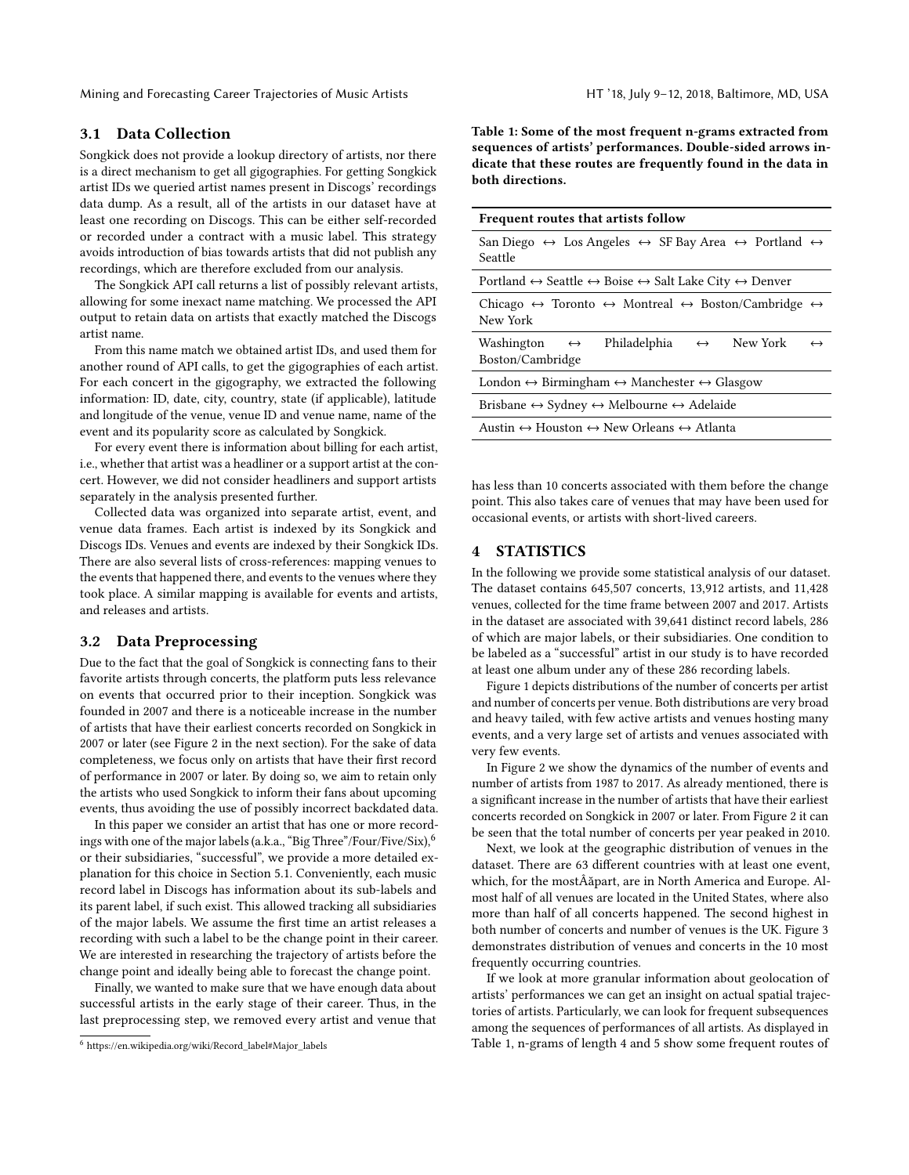### 3.1 Data Collection

Songkick does not provide a lookup directory of artists, nor there is a direct mechanism to get all gigographies. For getting Songkick artist IDs we queried artist names present in Discogs' recordings data dump. As a result, all of the artists in our dataset have at least one recording on Discogs. This can be either self-recorded or recorded under a contract with a music label. This strategy avoids introduction of bias towards artists that did not publish any recordings, which are therefore excluded from our analysis.

The Songkick API call returns a list of possibly relevant artists, allowing for some inexact name matching. We processed the API output to retain data on artists that exactly matched the Discogs artist name.

From this name match we obtained artist IDs, and used them for another round of API calls, to get the gigographies of each artist. For each concert in the gigography, we extracted the following information: ID, date, city, country, state (if applicable), latitude and longitude of the venue, venue ID and venue name, name of the event and its popularity score as calculated by Songkick.

For every event there is information about billing for each artist, i.e., whether that artist was a headliner or a support artist at the concert. However, we did not consider headliners and support artists separately in the analysis presented further.

Collected data was organized into separate artist, event, and venue data frames. Each artist is indexed by its Songkick and Discogs IDs. Venues and events are indexed by their Songkick IDs. There are also several lists of cross-references: mapping venues to the events that happened there, and events to the venues where they took place. A similar mapping is available for events and artists, and releases and artists.

#### 3.2 Data Preprocessing

Due to the fact that the goal of Songkick is connecting fans to their favorite artists through concerts, the platform puts less relevance on events that occurred prior to their inception. Songkick was founded in 2007 and there is a noticeable increase in the number of artists that have their earliest concerts recorded on Songkick in 2007 or later (see Figure [2](#page-3-1) in the next section). For the sake of data completeness, we focus only on artists that have their first record of performance in 2007 or later. By doing so, we aim to retain only the artists who used Songkick to inform their fans about upcoming events, thus avoiding the use of possibly incorrect backdated data.

In this paper we consider an artist that has one or more record-ings with one of the major labels (a.k.a., "Big Three"/Four/Five/Six), [6](#page-2-1) or their subsidiaries, "successful", we provide a more detailed explanation for this choice in Section [5.1.](#page-3-2) Conveniently, each music record label in Discogs has information about its sub-labels and its parent label, if such exist. This allowed tracking all subsidiaries of the major labels. We assume the first time an artist releases a recording with such a label to be the change point in their career. We are interested in researching the trajectory of artists before the change point and ideally being able to forecast the change point.

Finally, we wanted to make sure that we have enough data about successful artists in the early stage of their career. Thus, in the last preprocessing step, we removed every artist and venue that

<span id="page-2-2"></span>Table 1: Some of the most frequent n-grams extracted from sequences of artists' performances. Double-sided arrows indicate that these routes are frequently found in the data in both directions.

| Frequent routes that artists follow                                                                                           |  |  |  |  |
|-------------------------------------------------------------------------------------------------------------------------------|--|--|--|--|
| San Diego $\leftrightarrow$ Los Angeles $\leftrightarrow$ SF Bay Area $\leftrightarrow$ Portland $\leftrightarrow$<br>Seattle |  |  |  |  |
| Portland $\leftrightarrow$ Seattle $\leftrightarrow$ Boise $\leftrightarrow$ Salt Lake City $\leftrightarrow$ Denver          |  |  |  |  |
| Chicago $\leftrightarrow$ Toronto $\leftrightarrow$ Montreal $\leftrightarrow$ Boston/Cambridge $\leftrightarrow$<br>New York |  |  |  |  |
| Philadelphia $\leftrightarrow$ New York<br>Washington $\leftrightarrow$<br>$\leftrightarrow$<br>Boston/Cambridge              |  |  |  |  |
| London $\leftrightarrow$ Birmingham $\leftrightarrow$ Manchester $\leftrightarrow$ Glasgow                                    |  |  |  |  |
| Brisbane $\leftrightarrow$ Sydney $\leftrightarrow$ Melbourne $\leftrightarrow$ Adelaide                                      |  |  |  |  |
| Austin $\leftrightarrow$ Houston $\leftrightarrow$ New Orleans $\leftrightarrow$ Atlanta                                      |  |  |  |  |

has less than 10 concerts associated with them before the change point. This also takes care of venues that may have been used for occasional events, or artists with short-lived careers.

## <span id="page-2-0"></span>4 STATISTICS

In the following we provide some statistical analysis of our dataset. The dataset contains 645,507 concerts, 13,912 artists, and 11,428 venues, collected for the time frame between 2007 and 2017. Artists in the dataset are associated with 39,641 distinct record labels, 286 of which are major labels, or their subsidiaries. One condition to be labeled as a "successful" artist in our study is to have recorded at least one album under any of these 286 recording labels.

Figure [1](#page-3-3) depicts distributions of the number of concerts per artist and number of concerts per venue. Both distributions are very broad and heavy tailed, with few active artists and venues hosting many events, and a very large set of artists and venues associated with very few events.

In Figure [2](#page-3-1) we show the dynamics of the number of events and number of artists from 1987 to 2017. As already mentioned, there is a significant increase in the number of artists that have their earliest concerts recorded on Songkick in 2007 or later. From Figure [2](#page-3-1) it can be seen that the total number of concerts per year peaked in 2010.

Next, we look at the geographic distribution of venues in the dataset. There are 63 different countries with at least one event, which, for the mostÂăpart, are in North America and Europe. Almost half of all venues are located in the United States, where also more than half of all concerts happened. The second highest in both number of concerts and number of venues is the UK. Figure [3](#page-4-0) demonstrates distribution of venues and concerts in the 10 most frequently occurring countries.

If we look at more granular information about geolocation of artists' performances we can get an insight on actual spatial trajectories of artists. Particularly, we can look for frequent subsequences among the sequences of performances of all artists. As displayed in Table [1,](#page-2-2) n-grams of length 4 and 5 show some frequent routes of

<span id="page-2-1"></span><sup>6</sup> [https://en.wikipedia.org/wiki/Record\\_label#Major\\_labels](https://en.wikipedia.org/wiki/Record_label#Major_labels)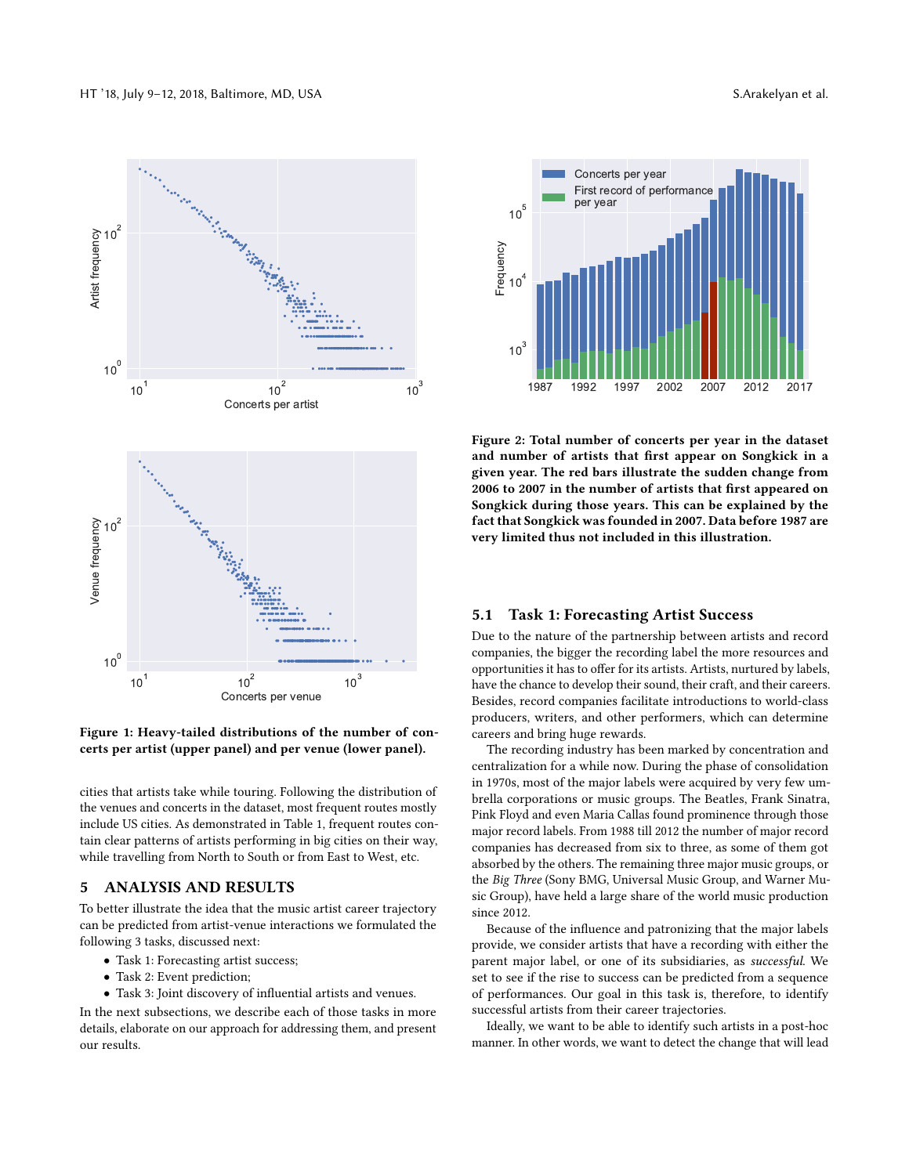<span id="page-3-3"></span>

Figure 1: Heavy-tailed distributions of the number of concerts per artist (upper panel) and per venue (lower panel).

cities that artists take while touring. Following the distribution of the venues and concerts in the dataset, most frequent routes mostly include US cities. As demonstrated in Table [1,](#page-2-2) frequent routes contain clear patterns of artists performing in big cities on their way, while travelling from North to South or from East to West, etc.

#### <span id="page-3-0"></span>5 ANALYSIS AND RESULTS

To better illustrate the idea that the music artist career trajectory can be predicted from artist-venue interactions we formulated the following 3 tasks, discussed next:

- Task 1: Forecasting artist success;
- Task 2: Event prediction;
- Task 3: Joint discovery of influential artists and venues.

In the next subsections, we describe each of those tasks in more details, elaborate on our approach for addressing them, and present our results.

<span id="page-3-1"></span>

Figure 2: Total number of concerts per year in the dataset and number of artists that first appear on Songkick in a given year. The red bars illustrate the sudden change from 2006 to 2007 in the number of artists that first appeared on Songkick during those years. This can be explained by the fact that Songkick was founded in 2007. Data before 1987 are very limited thus not included in this illustration.

#### <span id="page-3-2"></span>5.1 Task 1: Forecasting Artist Success

Due to the nature of the partnership between artists and record companies, the bigger the recording label the more resources and opportunities it has to offer for its artists. Artists, nurtured by labels, have the chance to develop their sound, their craft, and their careers. Besides, record companies facilitate introductions to world-class producers, writers, and other performers, which can determine careers and bring huge rewards.

The recording industry has been marked by concentration and centralization for a while now. During the phase of consolidation in 1970s, most of the major labels were acquired by very few umbrella corporations or music groups. The Beatles, Frank Sinatra, Pink Floyd and even Maria Callas found prominence through those major record labels. From 1988 till 2012 the number of major record companies has decreased from six to three, as some of them got absorbed by the others. The remaining three major music groups, or the Big Three (Sony BMG, Universal Music Group, and Warner Music Group), have held a large share of the world music production since 2012.

Because of the influence and patronizing that the major labels provide, we consider artists that have a recording with either the parent major label, or one of its subsidiaries, as successful. We set to see if the rise to success can be predicted from a sequence of performances. Our goal in this task is, therefore, to identify successful artists from their career trajectories.

Ideally, we want to be able to identify such artists in a post-hoc manner. In other words, we want to detect the change that will lead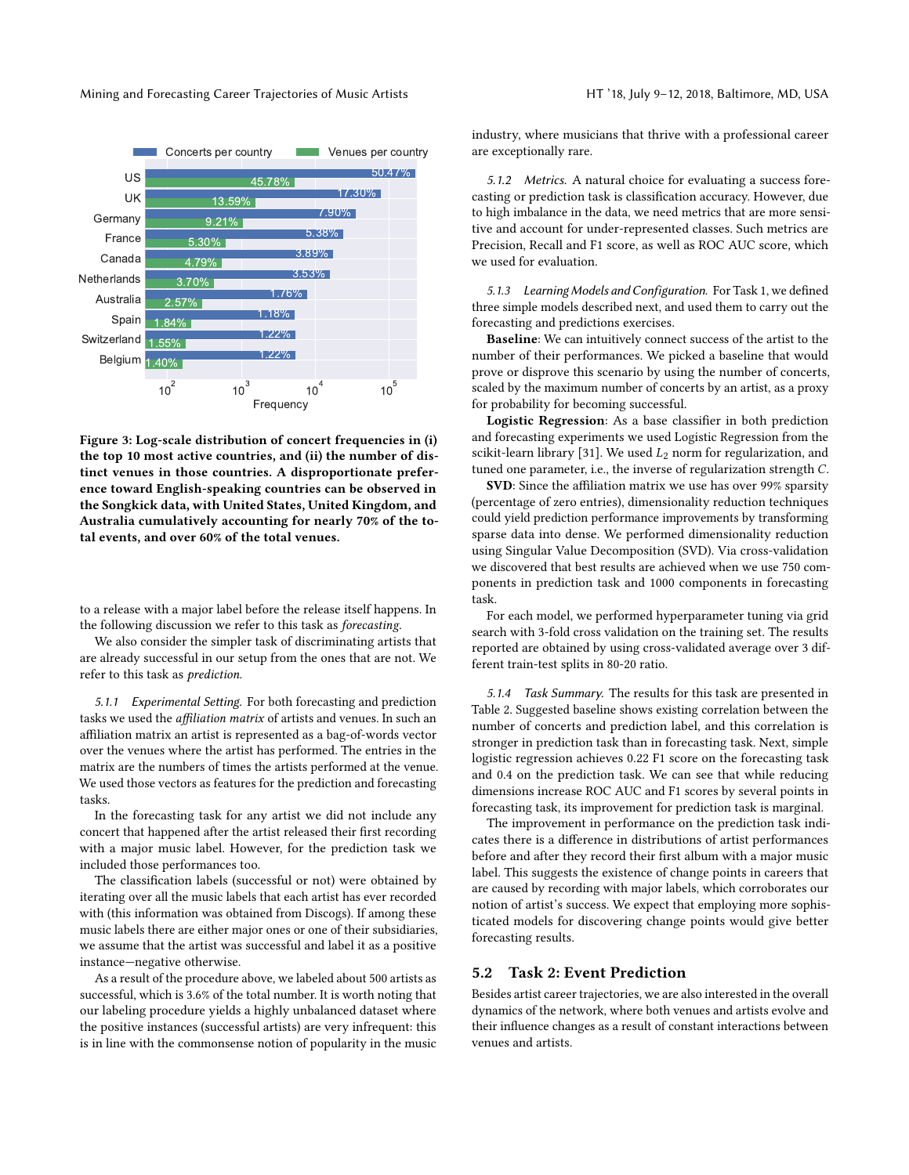<span id="page-4-0"></span>

Figure 3: Log-scale distribution of concert frequencies in (i) the top 10 most active countries, and (ii) the number of distinct venues in those countries. A disproportionate preference toward English-speaking countries can be observed in the Songkick data, with United States, United Kingdom, and Australia cumulatively accounting for nearly 70% of the total events, and over 60% of the total venues.

to a release with a major label before the release itself happens. In the following discussion we refer to this task as forecasting.

We also consider the simpler task of discriminating artists that are already successful in our setup from the ones that are not. We refer to this task as prediction.

5.1.1 Experimental Setting. For both forecasting and prediction tasks we used the affiliation matrix of artists and venues. In such an affiliation matrix an artist is represented as a bag-of-words vector over the venues where the artist has performed. The entries in the matrix are the numbers of times the artists performed at the venue. We used those vectors as features for the prediction and forecasting tasks.

In the forecasting task for any artist we did not include any concert that happened after the artist released their first recording with a major music label. However, for the prediction task we included those performances too.

The classification labels (successful or not) were obtained by iterating over all the music labels that each artist has ever recorded with (this information was obtained from Discogs). If among these music labels there are either major ones or one of their subsidiaries, we assume that the artist was successful and label it as a positive instance—negative otherwise.

As a result of the procedure above, we labeled about 500 artists as successful, which is 3.6% of the total number. It is worth noting that our labeling procedure yields a highly unbalanced dataset where the positive instances (successful artists) are very infrequent: this is in line with the commonsense notion of popularity in the music industry, where musicians that thrive with a professional career are exceptionally rare.

5.1.2 Metrics. A natural choice for evaluating a success forecasting or prediction task is classification accuracy. However, due to high imbalance in the data, we need metrics that are more sensitive and account for under-represented classes. Such metrics are Precision, Recall and F1 score, as well as ROC AUC score, which we used for evaluation.

5.1.3 Learning Models and Configuration. For Task 1, we defined three simple models described next, and used them to carry out the forecasting and predictions exercises.

Baseline: We can intuitively connect success of the artist to the number of their performances. We picked a baseline that would prove or disprove this scenario by using the number of concerts, scaled by the maximum number of concerts by an artist, as a proxy for probability for becoming successful.

Logistic Regression: As a base classifier in both prediction and forecasting experiments we used Logistic Regression from the scikit-learn library [\[31\]](#page-8-41). We used  $L_2$  norm for regularization, and tuned one parameter, i.e., the inverse of regularization strength C.

SVD: Since the affiliation matrix we use has over 99% sparsity (percentage of zero entries), dimensionality reduction techniques could yield prediction performance improvements by transforming sparse data into dense. We performed dimensionality reduction using Singular Value Decomposition (SVD). Via cross-validation we discovered that best results are achieved when we use 750 components in prediction task and 1000 components in forecasting task.

For each model, we performed hyperparameter tuning via grid search with 3-fold cross validation on the training set. The results reported are obtained by using cross-validated average over 3 different train-test splits in 80-20 ratio.

5.1.4 Task Summary. The results for this task are presented in Table [2.](#page-5-0) Suggested baseline shows existing correlation between the number of concerts and prediction label, and this correlation is stronger in prediction task than in forecasting task. Next, simple logistic regression achieves 0.22 F1 score on the forecasting task and 0.4 on the prediction task. We can see that while reducing dimensions increase ROC AUC and F1 scores by several points in forecasting task, its improvement for prediction task is marginal.

The improvement in performance on the prediction task indicates there is a difference in distributions of artist performances before and after they record their first album with a major music label. This suggests the existence of change points in careers that are caused by recording with major labels, which corroborates our notion of artist's success. We expect that employing more sophisticated models for discovering change points would give better forecasting results.

## 5.2 Task 2: Event Prediction

Besides artist career trajectories, we are also interested in the overall dynamics of the network, where both venues and artists evolve and their influence changes as a result of constant interactions between venues and artists.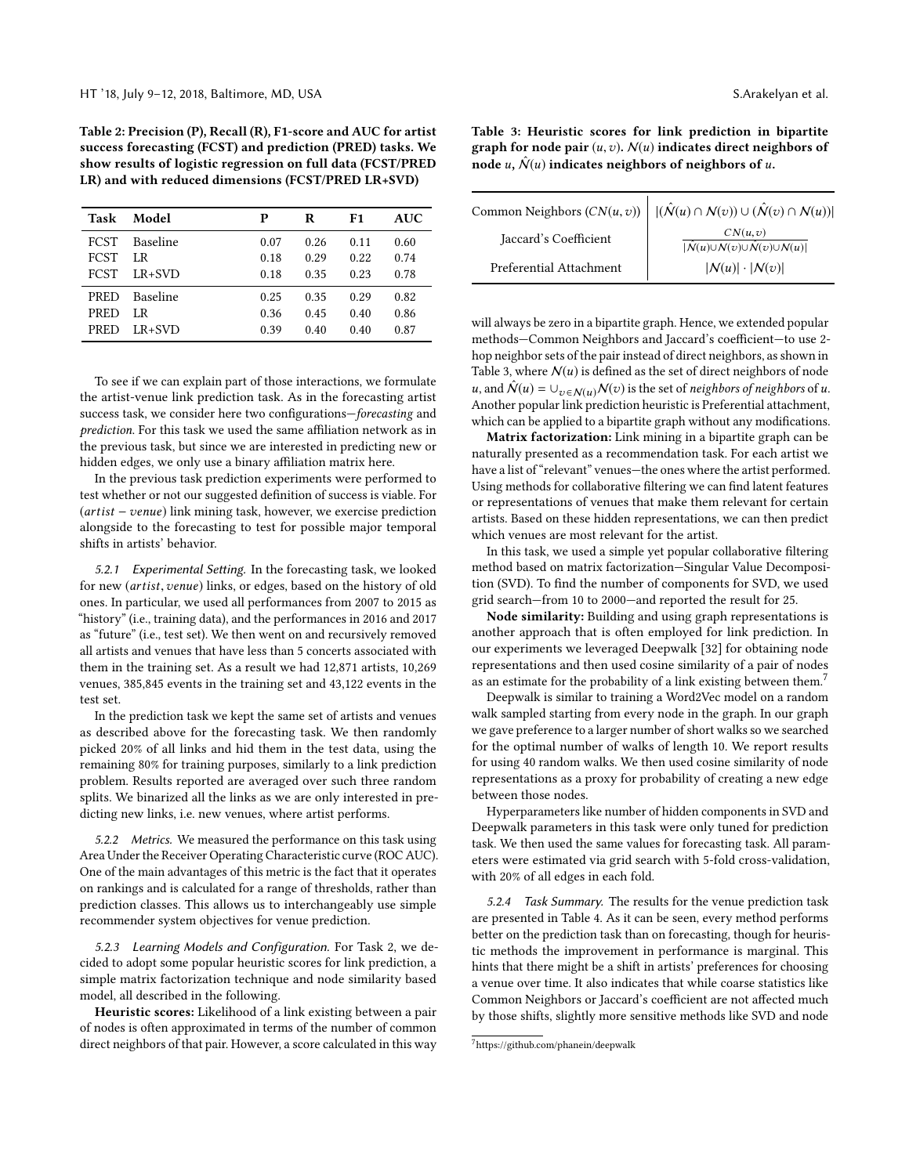<span id="page-5-0"></span>Table 2: Precision (P), Recall (R), F1-score and AUC for artist success forecasting (FCST) and prediction (PRED) tasks. We show results of logistic regression on full data (FCST/PRED LR) and with reduced dimensions (FCST/PRED LR+SVD)

| Task        | Model           | Р    | R    | F1   | <b>AUC</b> |
|-------------|-----------------|------|------|------|------------|
| <b>FCST</b> | <b>Baseline</b> | 0.07 | 0.26 | 0.11 | 0.60       |
| <b>FCST</b> | LR              | 0.18 | 0.29 | 0.22 | 0.74       |
| <b>FCST</b> | $LR+SVD$        | 0.18 | 0.35 | 0.23 | 0.78       |
| PRED        | <b>Baseline</b> | 0.25 | 0.35 | 0.29 | 0.82       |
| PRED        | LR              | 0.36 | 0.45 | 0.40 | 0.86       |
| PRED        | $LR+SVD$        | 0.39 | 0.40 | 0.40 | 0.87       |
|             |                 |      |      |      |            |

To see if we can explain part of those interactions, we formulate the artist-venue link prediction task. As in the forecasting artist success task, we consider here two configurations—forecasting and prediction. For this task we used the same affiliation network as in the previous task, but since we are interested in predicting new or hidden edges, we only use a binary affiliation matrix here.

In the previous task prediction experiments were performed to test whether or not our suggested definition of success is viable. For (artist <sup>−</sup>venue) link mining task, however, we exercise prediction alongside to the forecasting to test for possible major temporal shifts in artists' behavior.

5.2.1 Experimental Setting. In the forecasting task, we looked for new (artist, venue) links, or edges, based on the history of old ones. In particular, we used all performances from 2007 to 2015 as "history" (i.e., training data), and the performances in 2016 and 2017 as "future" (i.e., test set). We then went on and recursively removed all artists and venues that have less than 5 concerts associated with them in the training set. As a result we had 12,871 artists, 10,269 venues, 385,845 events in the training set and 43,122 events in the test set.

In the prediction task we kept the same set of artists and venues as described above for the forecasting task. We then randomly picked 20% of all links and hid them in the test data, using the remaining 80% for training purposes, similarly to a link prediction problem. Results reported are averaged over such three random splits. We binarized all the links as we are only interested in predicting new links, i.e. new venues, where artist performs.

5.2.2 Metrics. We measured the performance on this task using Area Under the Receiver Operating Characteristic curve (ROC AUC). One of the main advantages of this metric is the fact that it operates on rankings and is calculated for a range of thresholds, rather than prediction classes. This allows us to interchangeably use simple recommender system objectives for venue prediction.

5.2.3 Learning Models and Configuration. For Task 2, we decided to adopt some popular heuristic scores for link prediction, a simple matrix factorization technique and node similarity based model, all described in the following.

Heuristic scores: Likelihood of a link existing between a pair of nodes is often approximated in terms of the number of common direct neighbors of that pair. However, a score calculated in this way

<span id="page-5-1"></span>Table 3: Heuristic scores for link prediction in bipartite graph for node pair  $(u, v)$ .  $\mathcal{N}(u)$  indicates direct neighbors of node u,  $\hat{N}(u)$  indicates neighbors of neighbors of u.

|                         | Common Neighbors $(CN(u,v))\ \Big \  (\hat{\cal N}(u)\cap {\cal N}(v))\cup (\hat{\cal N}(v)\cap {\cal N}(u)) $ |
|-------------------------|----------------------------------------------------------------------------------------------------------------|
| Jaccard's Coefficient   | CN(u,v)<br>$\sqrt{\hat{N}(u) \cup \hat{N}(v) \cup \hat{N}(v) \cup \hat{N}(u)}$                                 |
| Preferential Attachment | $ N(u)  \cdot  N(v) $                                                                                          |

will always be zero in a bipartite graph. Hence, we extended popular methods—Common Neighbors and Jaccard's coefficient—to use 2 hop neighbor sets of the pair instead of direct neighbors, as shown in Table [3,](#page-5-1) where  $\mathcal{N}(u)$  is defined as the set of direct neighbors of node u, and  $\hat{N}(u) = \bigcup_{v \in \mathcal{N}(u)} \mathcal{N}(v)$  is the set of neighbors of neighbors of u. Another popular link prediction heuristic is Preferential attachment, which can be applied to a bipartite graph without any modifications.

Matrix factorization: Link mining in a bipartite graph can be naturally presented as a recommendation task. For each artist we have a list of "relevant" venues—the ones where the artist performed. Using methods for collaborative filtering we can find latent features or representations of venues that make them relevant for certain artists. Based on these hidden representations, we can then predict which venues are most relevant for the artist.

In this task, we used a simple yet popular collaborative filtering method based on matrix factorization—Singular Value Decomposition (SVD). To find the number of components for SVD, we used grid search—from 10 to 2000—and reported the result for 25.

Node similarity: Building and using graph representations is another approach that is often employed for link prediction. In our experiments we leveraged Deepwalk [\[32\]](#page-8-42) for obtaining node representations and then used cosine similarity of a pair of nodes as an estimate for the probability of a link existing between them.<sup>[7](#page-5-2)</sup>

Deepwalk is similar to training a Word2Vec model on a random walk sampled starting from every node in the graph. In our graph we gave preference to a larger number of short walks so we searched for the optimal number of walks of length 10. We report results for using 40 random walks. We then used cosine similarity of node representations as a proxy for probability of creating a new edge between those nodes.

Hyperparameters like number of hidden components in SVD and Deepwalk parameters in this task were only tuned for prediction task. We then used the same values for forecasting task. All parameters were estimated via grid search with 5-fold cross-validation, with 20% of all edges in each fold.

5.2.4 Task Summary. The results for the venue prediction task are presented in Table [4.](#page-6-0) As it can be seen, every method performs better on the prediction task than on forecasting, though for heuristic methods the improvement in performance is marginal. This hints that there might be a shift in artists' preferences for choosing a venue over time. It also indicates that while coarse statistics like Common Neighbors or Jaccard's coefficient are not affected much by those shifts, slightly more sensitive methods like SVD and node

<span id="page-5-2"></span><sup>7</sup>https://github.com/phanein/deepwalk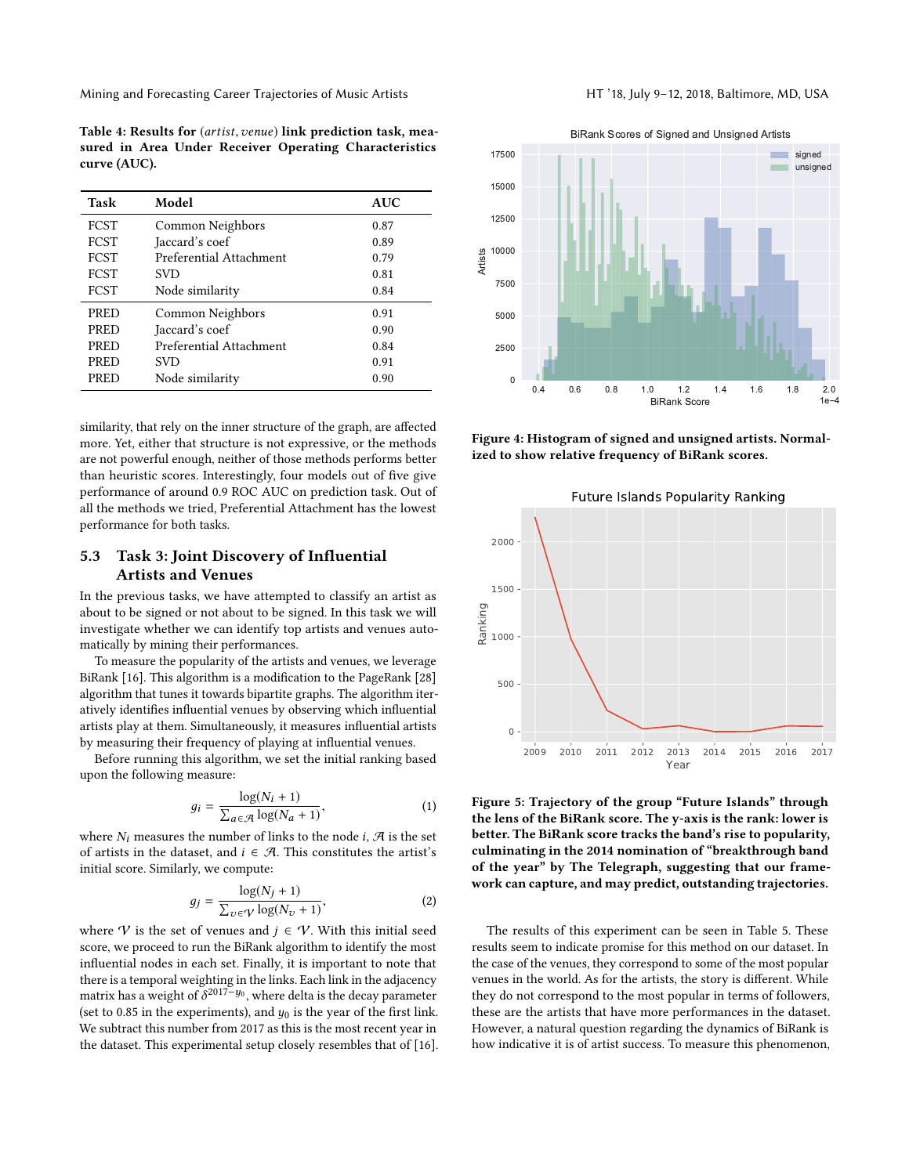<span id="page-6-0"></span>Table 4: Results for (artist, venue) link prediction task, measured in Area Under Receiver Operating Characteristics curve (AUC).

| Task        | Model                   | <b>AUC</b> |
|-------------|-------------------------|------------|
| <b>FCST</b> | Common Neighbors        | 0.87       |
| <b>FCST</b> | Jaccard's coef          | 0.89       |
| <b>FCST</b> | Preferential Attachment | 0.79       |
| <b>FCST</b> | <b>SVD</b>              | 0.81       |
| <b>FCST</b> | Node similarity         | 0.84       |
| PRED        | Common Neighbors        | 0.91       |
| PRED        | Jaccard's coef          | 0.90       |
| PRED        | Preferential Attachment | 0.84       |
| PRED        | <b>SVD</b>              | 0.91       |
| PRED        | Node similarity         | 0.90       |

similarity, that rely on the inner structure of the graph, are affected more. Yet, either that structure is not expressive, or the methods are not powerful enough, neither of those methods performs better than heuristic scores. Interestingly, four models out of five give performance of around 0.9 ROC AUC on prediction task. Out of all the methods we tried, Preferential Attachment has the lowest performance for both tasks.

# 5.3 Task 3: Joint Discovery of Influential Artists and Venues

In the previous tasks, we have attempted to classify an artist as about to be signed or not about to be signed. In this task we will investigate whether we can identify top artists and venues automatically by mining their performances.

To measure the popularity of the artists and venues, we leverage BiRank [\[16\]](#page-8-39). This algorithm is a modification to the PageRank [\[28\]](#page-8-40) algorithm that tunes it towards bipartite graphs. The algorithm iteratively identifies influential venues by observing which influential artists play at them. Simultaneously, it measures influential artists by measuring their frequency of playing at influential venues.

Before running this algorithm, we set the initial ranking based upon the following measure:

$$
g_i = \frac{\log(N_i + 1)}{\sum_{a \in \mathcal{A}} \log(N_a + 1)},\tag{1}
$$

where  $N_i$  measures the number of links to the node *i*,  $\mathcal{A}$  is the set of orticles in the dataset and *i*  $\in \mathcal{A}$ . This constitutes the articles of artists in the dataset, and  $i \in \mathcal{A}$ . This constitutes the artist's initial score. Similarly, we compute:

$$
g_j = \frac{\log(N_j + 1)}{\sum_{v \in \mathcal{V}} \log(N_v + 1)},\tag{2}
$$

where V is the set of venues and  $j \in V$ . With this initial seed<br>score we proceed to run the BiPank algorithm to identify the most score, we proceed to run the BiRank algorithm to identify the most influential nodes in each set. Finally, it is important to note that there is a temporal weighting in the links. Each link in the adjacency matrix has a weight of  $\delta^{2017-y_0}$ , where delta is the decay parameter<br>(est to 0.85 in the experiments), and  $y_0$  is the year of the first link (set to 0.85 in the experiments), and  $y_0$  is the year of the first link. We subtract this number from 2017 as this is the most recent year in the dataset. This experimental setup closely resembles that of [\[16\]](#page-8-39).

<span id="page-6-1"></span>

Figure 4: Histogram of signed and unsigned artists. Normalized to show relative frequency of BiRank scores.

 $\Omega$ 

2500

0.4 0.6 0.8 1.0 1.2 1.4 1.6 1.8 2.0

BiRank Score 1e-4

<span id="page-6-2"></span>

Figure 5: Trajectory of the group "Future Islands" through the lens of the BiRank score. The y-axis is the rank: lower is better. The BiRank score tracks the band's rise to popularity, culminating in the 2014 nomination of "breakthrough band of the year" by The Telegraph, suggesting that our framework can capture, and may predict, outstanding trajectories.

The results of this experiment can be seen in Table [5.](#page-7-1) These results seem to indicate promise for this method on our dataset. In the case of the venues, they correspond to some of the most popular venues in the world. As for the artists, the story is different. While they do not correspond to the most popular in terms of followers, these are the artists that have more performances in the dataset. However, a natural question regarding the dynamics of BiRank is how indicative it is of artist success. To measure this phenomenon,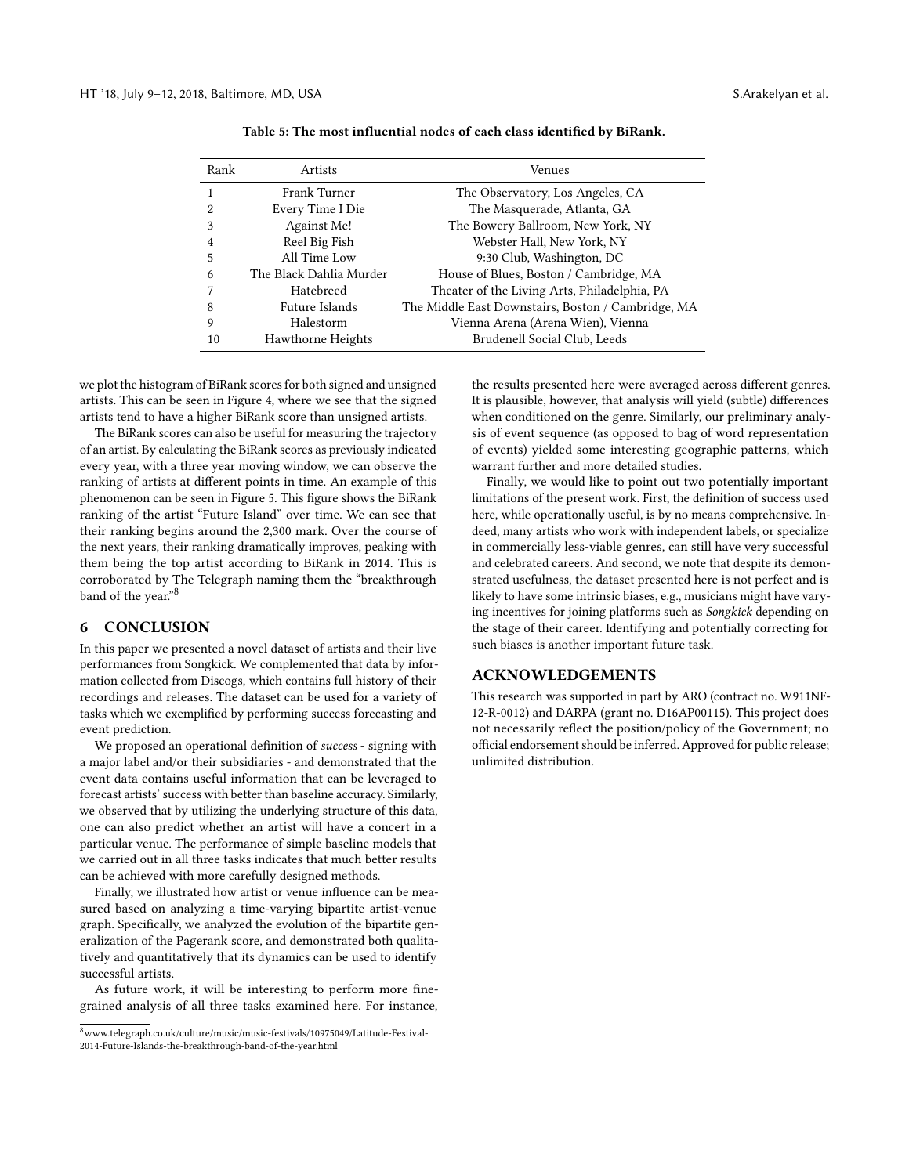<span id="page-7-1"></span>

| Rank | Artists                 | Venues                                             |
|------|-------------------------|----------------------------------------------------|
|      | Frank Turner            | The Observatory, Los Angeles, CA                   |
| 2    | Every Time I Die        | The Masquerade, Atlanta, GA                        |
| 3    | Against Me!             | The Bowery Ballroom, New York, NY                  |
| 4    | Reel Big Fish           | Webster Hall, New York, NY                         |
| 5    | All Time Low            | 9:30 Club, Washington, DC                          |
| 6    | The Black Dahlia Murder | House of Blues, Boston / Cambridge, MA             |
|      | Hatebreed               | Theater of the Living Arts, Philadelphia, PA       |
| 8    | Future Islands          | The Middle East Downstairs, Boston / Cambridge, MA |
| 9    | Halestorm               | Vienna Arena (Arena Wien), Vienna                  |
| 10   | Hawthorne Heights       | Brudenell Social Club, Leeds                       |

Table 5: The most influential nodes of each class identified by BiRank.

we plot the histogram of BiRank scores for both signed and unsigned artists. This can be seen in Figure [4,](#page-6-1) where we see that the signed artists tend to have a higher BiRank score than unsigned artists.

The BiRank scores can also be useful for measuring the trajectory of an artist. By calculating the BiRank scores as previously indicated every year, with a three year moving window, we can observe the ranking of artists at different points in time. An example of this phenomenon can be seen in Figure [5.](#page-6-2) This figure shows the BiRank ranking of the artist "Future Island" over time. We can see that their ranking begins around the 2,300 mark. Over the course of the next years, their ranking dramatically improves, peaking with them being the top artist according to BiRank in 2014. This is corroborated by The Telegraph naming them the "breakthrough band of the year."<sup>[8](#page-7-2)</sup>

### <span id="page-7-0"></span>6 CONCLUSION

In this paper we presented a novel dataset of artists and their live performances from Songkick. We complemented that data by information collected from Discogs, which contains full history of their recordings and releases. The dataset can be used for a variety of tasks which we exemplified by performing success forecasting and event prediction.

We proposed an operational definition of success - signing with a major label and/or their subsidiaries - and demonstrated that the event data contains useful information that can be leveraged to forecast artists' success with better than baseline accuracy. Similarly, we observed that by utilizing the underlying structure of this data, one can also predict whether an artist will have a concert in a particular venue. The performance of simple baseline models that we carried out in all three tasks indicates that much better results can be achieved with more carefully designed methods.

Finally, we illustrated how artist or venue influence can be measured based on analyzing a time-varying bipartite artist-venue graph. Specifically, we analyzed the evolution of the bipartite generalization of the Pagerank score, and demonstrated both qualitatively and quantitatively that its dynamics can be used to identify successful artists.

As future work, it will be interesting to perform more finegrained analysis of all three tasks examined here. For instance, the results presented here were averaged across different genres. It is plausible, however, that analysis will yield (subtle) differences when conditioned on the genre. Similarly, our preliminary analysis of event sequence (as opposed to bag of word representation of events) yielded some interesting geographic patterns, which warrant further and more detailed studies.

Finally, we would like to point out two potentially important limitations of the present work. First, the definition of success used here, while operationally useful, is by no means comprehensive. Indeed, many artists who work with independent labels, or specialize in commercially less-viable genres, can still have very successful and celebrated careers. And second, we note that despite its demonstrated usefulness, the dataset presented here is not perfect and is likely to have some intrinsic biases, e.g., musicians might have varying incentives for joining platforms such as Songkick depending on the stage of their career. Identifying and potentially correcting for such biases is another important future task.

#### ACKNOWLEDGEMENTS

This research was supported in part by ARO (contract no. W911NF-12-R-0012) and DARPA (grant no. D16AP00115). This project does not necessarily reflect the position/policy of the Government; no official endorsement should be inferred. Approved for public release; unlimited distribution.

<span id="page-7-2"></span><sup>8</sup>www.telegraph.co.uk/culture/music/music-festivals/10975049/Latitude-Festival-2014-Future-Islands-the-breakthrough-band-of-the-year.html